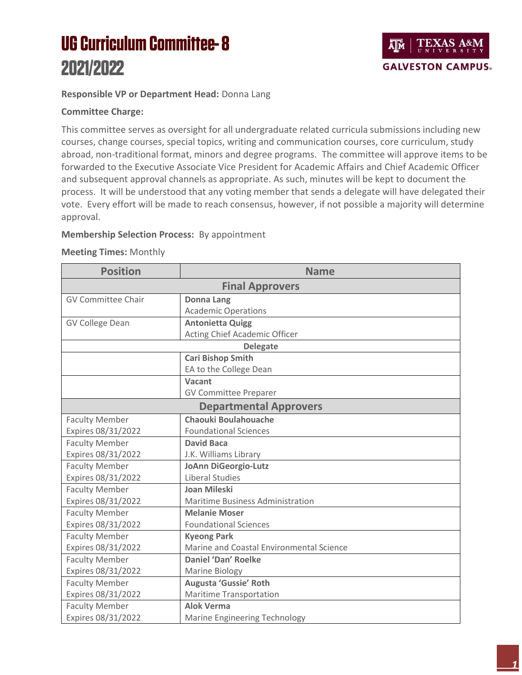# **UG Curriculum Committee-8** 2021/2022



## **Responsible VP or Department Head:** Donna Lang

### **Committee Charge:**

This committee serves as oversight for all undergraduate related curricula submissions including new courses, change courses, special topics, writing and communication courses, core curriculum, study abroad, non-traditional format, minors and degree programs. The committee will approve items to be forwarded to the Executive Associate Vice President for Academic Affairs and Chief Academic Officer and subsequent approval channels as appropriate. As such, minutes will be kept to document the process. It will be understood that any voting member that sends a delegate will have delegated their vote. Every effort will be made to reach consensus, however, if not possible a majority will determine approval.

### **Membership Selection Process:** By appointment

#### **Meeting Times:** Monthly

| <b>Position</b>               | <b>Name</b>                              |  |  |
|-------------------------------|------------------------------------------|--|--|
| <b>Final Approvers</b>        |                                          |  |  |
| <b>GV Committee Chair</b>     | <b>Donna Lang</b>                        |  |  |
|                               | <b>Academic Operations</b>               |  |  |
| <b>GV College Dean</b>        | <b>Antonietta Quigg</b>                  |  |  |
|                               | Acting Chief Academic Officer            |  |  |
| <b>Delegate</b>               |                                          |  |  |
|                               | <b>Cari Bishop Smith</b>                 |  |  |
|                               | EA to the College Dean                   |  |  |
|                               | Vacant                                   |  |  |
|                               | <b>GV Committee Preparer</b>             |  |  |
| <b>Departmental Approvers</b> |                                          |  |  |
| <b>Faculty Member</b>         | Chaouki Boulahouache                     |  |  |
| Expires 08/31/2022            | <b>Foundational Sciences</b>             |  |  |
| <b>Faculty Member</b>         | <b>David Baca</b>                        |  |  |
| Expires 08/31/2022            | J.K. Williams Library                    |  |  |
| <b>Faculty Member</b>         | <b>JoAnn DiGeorgio-Lutz</b>              |  |  |
| Expires 08/31/2022            | Liberal Studies                          |  |  |
| <b>Faculty Member</b>         | Joan Mileski                             |  |  |
| Expires 08/31/2022            | Maritime Business Administration         |  |  |
| <b>Faculty Member</b>         | <b>Melanie Moser</b>                     |  |  |
| Expires 08/31/2022            | <b>Foundational Sciences</b>             |  |  |
| <b>Faculty Member</b>         | <b>Kyeong Park</b>                       |  |  |
| Expires 08/31/2022            | Marine and Coastal Environmental Science |  |  |
| <b>Faculty Member</b>         | <b>Daniel 'Dan' Roelke</b>               |  |  |
| Expires 08/31/2022            | Marine Biology                           |  |  |
| <b>Faculty Member</b>         | Augusta 'Gussie' Roth                    |  |  |
| Expires 08/31/2022            | Maritime Transportation                  |  |  |
| <b>Faculty Member</b>         | <b>Alok Verma</b>                        |  |  |
| Expires 08/31/2022            | <b>Marine Engineering Technology</b>     |  |  |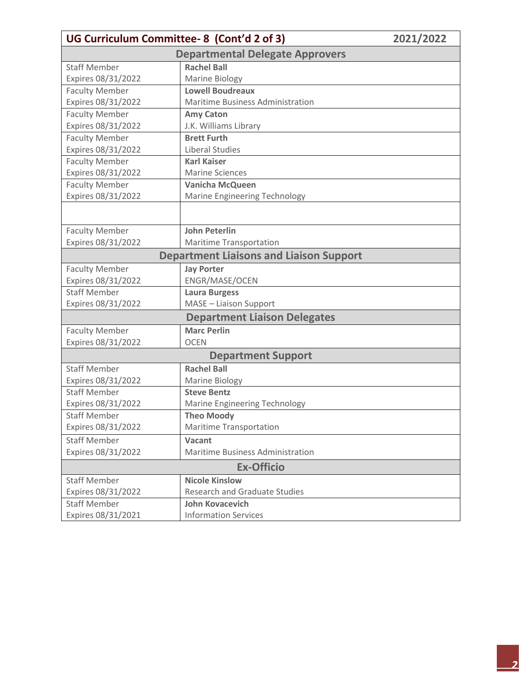| UG Curriculum Committee-8 (Cont'd 2 of 3) | 2021/2022                                      |  |  |  |
|-------------------------------------------|------------------------------------------------|--|--|--|
| <b>Departmental Delegate Approvers</b>    |                                                |  |  |  |
| <b>Staff Member</b>                       | <b>Rachel Ball</b>                             |  |  |  |
| Expires 08/31/2022                        | <b>Marine Biology</b>                          |  |  |  |
| <b>Faculty Member</b>                     | <b>Lowell Boudreaux</b>                        |  |  |  |
| Expires 08/31/2022                        | Maritime Business Administration               |  |  |  |
| <b>Faculty Member</b>                     | <b>Amy Caton</b>                               |  |  |  |
| Expires 08/31/2022                        | J.K. Williams Library                          |  |  |  |
| <b>Faculty Member</b>                     | <b>Brett Furth</b>                             |  |  |  |
| Expires 08/31/2022                        | <b>Liberal Studies</b>                         |  |  |  |
| <b>Faculty Member</b>                     | <b>Karl Kaiser</b>                             |  |  |  |
| Expires 08/31/2022                        | <b>Marine Sciences</b>                         |  |  |  |
| <b>Faculty Member</b>                     | <b>Vanicha McQueen</b>                         |  |  |  |
| Expires 08/31/2022                        | Marine Engineering Technology                  |  |  |  |
|                                           |                                                |  |  |  |
| <b>Faculty Member</b>                     | <b>John Peterlin</b>                           |  |  |  |
| Expires 08/31/2022                        | <b>Maritime Transportation</b>                 |  |  |  |
|                                           | <b>Department Liaisons and Liaison Support</b> |  |  |  |
| <b>Faculty Member</b>                     | <b>Jay Porter</b>                              |  |  |  |
| Expires 08/31/2022                        | ENGR/MASE/OCEN                                 |  |  |  |
| <b>Staff Member</b>                       | <b>Laura Burgess</b>                           |  |  |  |
| Expires 08/31/2022                        | MASE - Liaison Support                         |  |  |  |
|                                           | <b>Department Liaison Delegates</b>            |  |  |  |
| <b>Faculty Member</b>                     | <b>Marc Perlin</b>                             |  |  |  |
| Expires 08/31/2022                        | <b>OCEN</b>                                    |  |  |  |
| <b>Department Support</b>                 |                                                |  |  |  |
| <b>Staff Member</b>                       | <b>Rachel Ball</b>                             |  |  |  |
| Expires 08/31/2022                        | Marine Biology                                 |  |  |  |
| <b>Staff Member</b>                       | <b>Steve Bentz</b>                             |  |  |  |
| Expires 08/31/2022                        | Marine Engineering Technology                  |  |  |  |
| <b>Staff Member</b>                       | <b>Theo Moody</b>                              |  |  |  |
| Expires 08/31/2022                        | <b>Maritime Transportation</b>                 |  |  |  |
| <b>Staff Member</b>                       | Vacant                                         |  |  |  |
| Expires 08/31/2022                        | Maritime Business Administration               |  |  |  |
| <b>Ex-Officio</b>                         |                                                |  |  |  |
| <b>Staff Member</b>                       | <b>Nicole Kinslow</b>                          |  |  |  |
| Expires 08/31/2022                        | <b>Research and Graduate Studies</b>           |  |  |  |
| <b>Staff Member</b>                       | <b>John Kovacevich</b>                         |  |  |  |
| Expires 08/31/2021                        | <b>Information Services</b>                    |  |  |  |